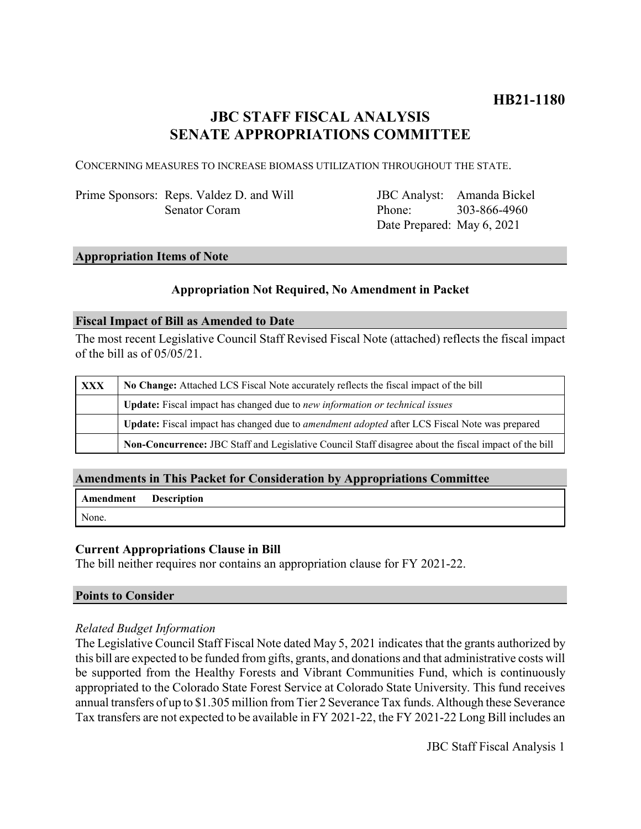## **JBC STAFF FISCAL ANALYSIS SENATE APPROPRIATIONS COMMITTEE**

CONCERNING MEASURES TO INCREASE BIOMASS UTILIZATION THROUGHOUT THE STATE.

Prime Sponsors: Reps. Valdez D. and Will Senator Coram

JBC Analyst: Amanda Bickel Phone: Date Prepared: May 6, 2021 303-866-4960

#### **Appropriation Items of Note**

#### **Appropriation Not Required, No Amendment in Packet**

#### **Fiscal Impact of Bill as Amended to Date**

The most recent Legislative Council Staff Revised Fiscal Note (attached) reflects the fiscal impact of the bill as of 05/05/21.

| XXX | No Change: Attached LCS Fiscal Note accurately reflects the fiscal impact of the bill                 |
|-----|-------------------------------------------------------------------------------------------------------|
|     | <b>Update:</b> Fiscal impact has changed due to new information or technical issues                   |
|     | Update: Fiscal impact has changed due to <i>amendment adopted</i> after LCS Fiscal Note was prepared  |
|     | Non-Concurrence: JBC Staff and Legislative Council Staff disagree about the fiscal impact of the bill |

### **Amendments in This Packet for Consideration by Appropriations Committee**

| <b>Amendment</b> Description |  |
|------------------------------|--|
| None.                        |  |

#### **Current Appropriations Clause in Bill**

The bill neither requires nor contains an appropriation clause for FY 2021-22.

#### **Points to Consider**

#### *Related Budget Information*

The Legislative Council Staff Fiscal Note dated May 5, 2021 indicates that the grants authorized by this bill are expected to be funded from gifts, grants, and donations and that administrative costs will be supported from the Healthy Forests and Vibrant Communities Fund, which is continuously appropriated to the Colorado State Forest Service at Colorado State University. This fund receives annual transfers of up to \$1.305 million from Tier 2 Severance Tax funds. Although these Severance Tax transfers are not expected to be available in FY 2021-22, the FY 2021-22 Long Bill includes an